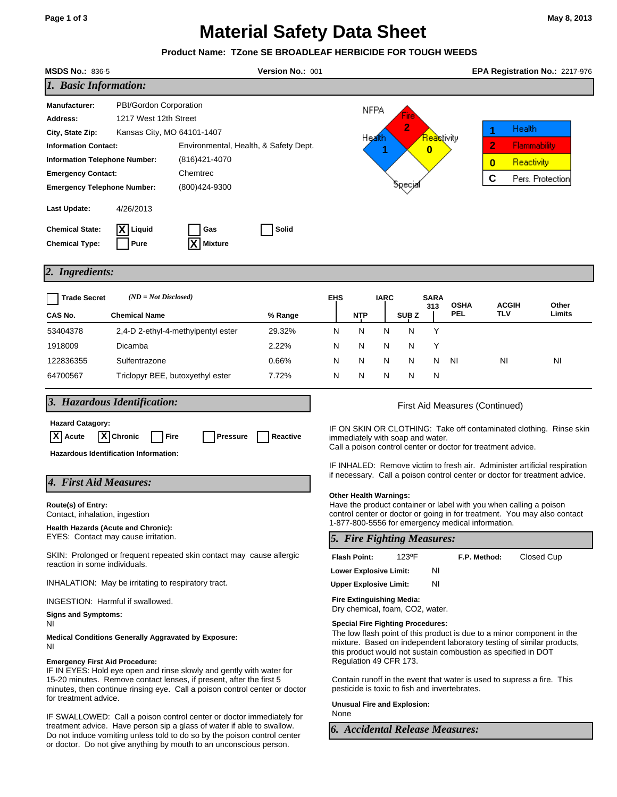# **Material Safety Data Sheet**

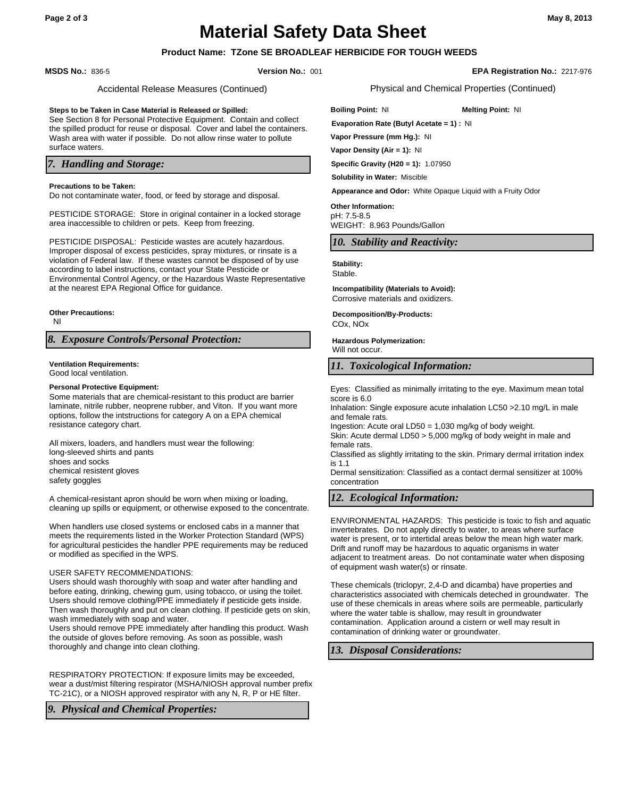# **Material Safety Data Sheet**

# **Product Name: TZone SE BROADLEAF HERBICIDE FOR TOUGH WEEDS**

#### **MSDS No.:** 836-5 **Version No.:** 001 **EPA Registration No.:** 2217-976

Accidental Release Measures (Continued)

#### **Steps to be Taken in Case Material is Released or Spilled:**

See Section 8 for Personal Protective Equipment. Contain and collect the spilled product for reuse or disposal. Cover and label the containers. Wash area with water if possible. Do not allow rinse water to pollute surface waters.

## *7. Handling and Storage:*

#### **Precautions to be Taken:**

Do not contaminate water, food, or feed by storage and disposal.

PESTICIDE STORAGE: Store in original container in a locked storage area inaccessible to children or pets. Keep from freezing.

PESTICIDE DISPOSAL: Pesticide wastes are acutely hazardous. Improper disposal of excess pesticides, spray mixtures, or rinsate is a violation of Federal law. If these wastes cannot be disposed of by use according to label instructions, contact your State Pesticide or Environmental Control Agency, or the Hazardous Waste Representative at the nearest EPA Regional Office for guidance.

**Other Precautions:**

NI

*8. Exposure Controls/Personal Protection:*

# **Ventilation Requirements:**

Good local ventilation.

#### **Personal Protective Equipment:**

Some materials that are chemical-resistant to this product are barrier laminate, nitrile rubber, neoprene rubber, and Viton. If you want more options, follow the intstructions for category A on a EPA chemical resistance category chart.

All mixers, loaders, and handlers must wear the following: long-sleeved shirts and pants shoes and socks chemical resistent gloves safety goggles

A chemical-resistant apron should be worn when mixing or loading, cleaning up spills or equipment, or otherwise exposed to the concentrate.

When handlers use closed systems or enclosed cabs in a manner that meets the requirements listed in the Worker Protection Standard (WPS) for agricultural pesticides the handler PPE requirements may be reduced or modified as specified in the WPS.

#### USER SAFETY RECOMMENDATIONS:

Users should wash thoroughly with soap and water after handling and before eating, drinking, chewing gum, using tobacco, or using the toilet. Users should remove clothing/PPE immediately if pesticide gets inside. Then wash thoroughly and put on clean clothing. If pesticide gets on skin, wash immediately with soap and water.

Users should remove PPE immediately after handling this product. Wash the outside of gloves before removing. As soon as possible, wash thoroughly and change into clean clothing.

RESPIRATORY PROTECTION: If exposure limits may be exceeded, wear a dust/mist filtering respirator (MSHA/NIOSH approval number prefix TC-21C), or a NIOSH approved respirator with any N, R, P or HE filter.

*9. Physical and Chemical Properties:*

Physical and Chemical Properties (Continued)

**Boiling Point: NI Melting Point: NI Evaporation Rate (Butyl Acetate = 1) :** NI **Vapor Pressure (mm Hg.):** NI

**Vapor Density (Air = 1):** NI

**Specific Gravity (H20 = 1):** 1.07950

**Solubility in Water:** Miscible

**Appearance and Odor:** White Opaque Liquid with a Fruity Odor

pH: 7.5-8.5 WEIGHT: 8.963 Pounds/Gallon **Other Information:**

## *10. Stability and Reactivity:*

### **Stability:**

Stable.

Corrosive materials and oxidizers. **Incompatibility (Materials to Avoid):**

COx, NOx **Decomposition/By-Products:**

**Hazardous Polymerization:** Will not occur

## *11. Toxicological Information:*

Eyes: Classified as minimally irritating to the eye. Maximum mean total score is 6.0

Inhalation: Single exposure acute inhalation LC50 >2.10 mg/L in male and female rats.

Ingestion: Acute oral LD50 = 1,030 mg/kg of body weight.

Skin: Acute dermal LD50 > 5,000 mg/kg of body weight in male and female rats.

Classified as slightly irritating to the skin. Primary dermal irritation index is 1.1

Dermal sensitization: Classified as a contact dermal sensitizer at 100% concentration

## *12. Ecological Information:*

ENVIRONMENTAL HAZARDS: This pesticide is toxic to fish and aquatic invertebrates. Do not apply directly to water, to areas where surface water is present, or to intertidal areas below the mean high water mark. Drift and runoff may be hazardous to aquatic organisms in water adjacent to treatment areas. Do not contaminate water when disposing of equipment wash water(s) or rinsate.

These chemicals (triclopyr, 2,4-D and dicamba) have properties and characteristics associated with chemicals deteched in groundwater. The use of these chemicals in areas where soils are permeable, particularly where the water table is shallow, may result in groundwater contamination. Application around a cistern or well may result in contamination of drinking water or groundwater.

*13. Disposal Considerations:*